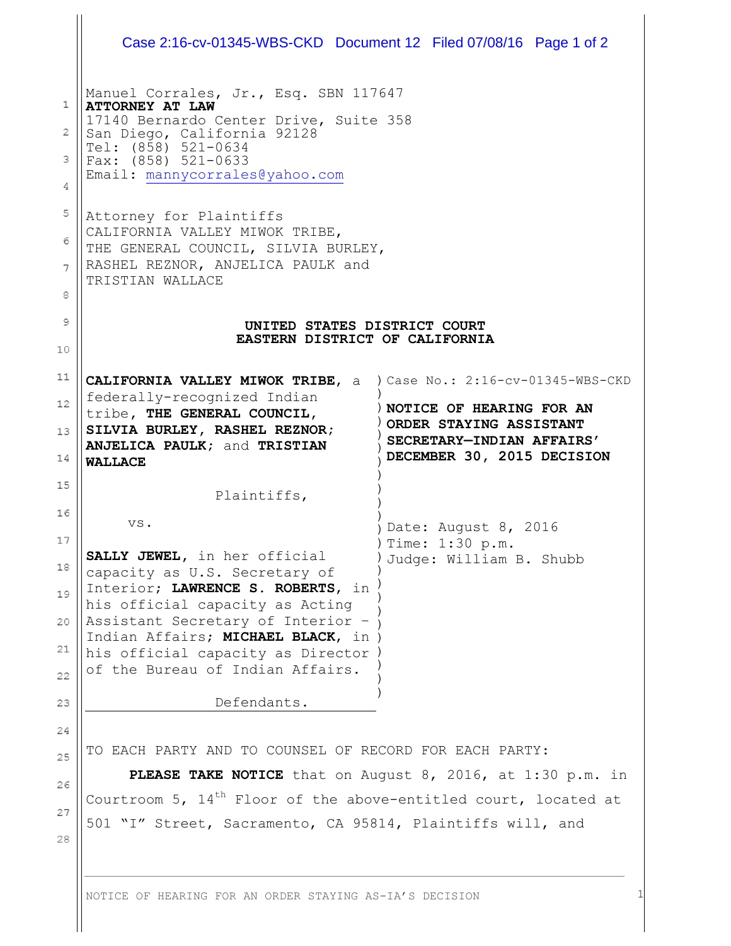|                  | Case 2:16-cv-01345-WBS-CKD Document 12 Filed 07/08/16 Page 1 of 2                                                                                                                                                                |                                                                                    |                                           |                                   |
|------------------|----------------------------------------------------------------------------------------------------------------------------------------------------------------------------------------------------------------------------------|------------------------------------------------------------------------------------|-------------------------------------------|-----------------------------------|
| 1<br>2<br>3<br>4 | Manuel Corrales, Jr., Esq. SBN 117647<br><b>ATTORNEY AT LAW</b><br>17140 Bernardo Center Drive, Suite 358<br>San Diego, California 92128<br>Tel: $(8\bar{5}8)$ 521-0634<br>Fax: (858) 521-0633<br>Email: mannycorrales@yahoo.com |                                                                                    |                                           |                                   |
| 5<br>6<br>7<br>8 | Attorney for Plaintiffs<br>CALIFORNIA VALLEY MIWOK TRIBE,<br>THE GENERAL COUNCIL, SILVIA BURLEY,<br>RASHEL REZNOR, ANJELICA PAULK and<br>TRISTIAN WALLACE<br>UNITED STATES DISTRICT COURT<br>EASTERN DISTRICT OF CALIFORNIA      |                                                                                    |                                           |                                   |
| 9<br>10          |                                                                                                                                                                                                                                  |                                                                                    |                                           |                                   |
| 11               | CALIFORNIA VALLEY MIWOK TRIBE, a                                                                                                                                                                                                 |                                                                                    |                                           | ) Case No.: 2:16-cv-01345-WBS-CKD |
| 12               | federally-recognized Indian<br>tribe, THE GENERAL COUNCIL,                                                                                                                                                                       |                                                                                    | NOTICE OF HEARING FOR AN                  |                                   |
| 13<br>14         | SILVIA BURLEY, RASHEL REZNOR;<br>ANJELICA PAULK; and TRISTIAN<br><b>WALLACE</b>                                                                                                                                                  | ORDER STAYING ASSISTANT<br>SECRETARY-INDIAN AFFAIRS'<br>DECEMBER 30, 2015 DECISION |                                           |                                   |
| 15               |                                                                                                                                                                                                                                  |                                                                                    |                                           |                                   |
| 16               | Plaintiffs,                                                                                                                                                                                                                      |                                                                                    |                                           |                                   |
| 17               | VS.                                                                                                                                                                                                                              |                                                                                    | Date: August 8, 2016<br>) Time: 1:30 p.m. |                                   |
| 18               | SALLY JEWEL, in her official<br>capacity as U.S. Secretary of                                                                                                                                                                    | Judge: William B. Shubb                                                            |                                           |                                   |
| 19               | Interior; LAWRENCE S. ROBERTS, in                                                                                                                                                                                                |                                                                                    |                                           |                                   |
| 20               | his official capacity as Acting<br>Assistant Secretary of Interior -                                                                                                                                                             |                                                                                    |                                           |                                   |
| 21               | Indian Affairs; MICHAEL BLACK, in                                                                                                                                                                                                |                                                                                    |                                           |                                   |
| 22               | his official capacity as Director<br>of the Bureau of Indian Affairs.                                                                                                                                                            |                                                                                    |                                           |                                   |
| 23               | Defendants.                                                                                                                                                                                                                      |                                                                                    |                                           |                                   |
| 24               |                                                                                                                                                                                                                                  |                                                                                    |                                           |                                   |
| 25               | TO EACH PARTY AND TO COUNSEL OF RECORD FOR EACH PARTY:                                                                                                                                                                           |                                                                                    |                                           |                                   |
| 26               | PLEASE TAKE NOTICE that on August 8, 2016, at 1:30 p.m. in                                                                                                                                                                       |                                                                                    |                                           |                                   |
| 27               | Courtroom 5, $14th$ Floor of the above-entitled court, located at                                                                                                                                                                |                                                                                    |                                           |                                   |
| 28               | 501 "I" Street, Sacramento, CA 95814, Plaintiffs will, and                                                                                                                                                                       |                                                                                    |                                           |                                   |
|                  |                                                                                                                                                                                                                                  |                                                                                    |                                           |                                   |

NOTICE OF HEARING FOR AN ORDER STAYING AS-IA'S DECISION 1

Ш